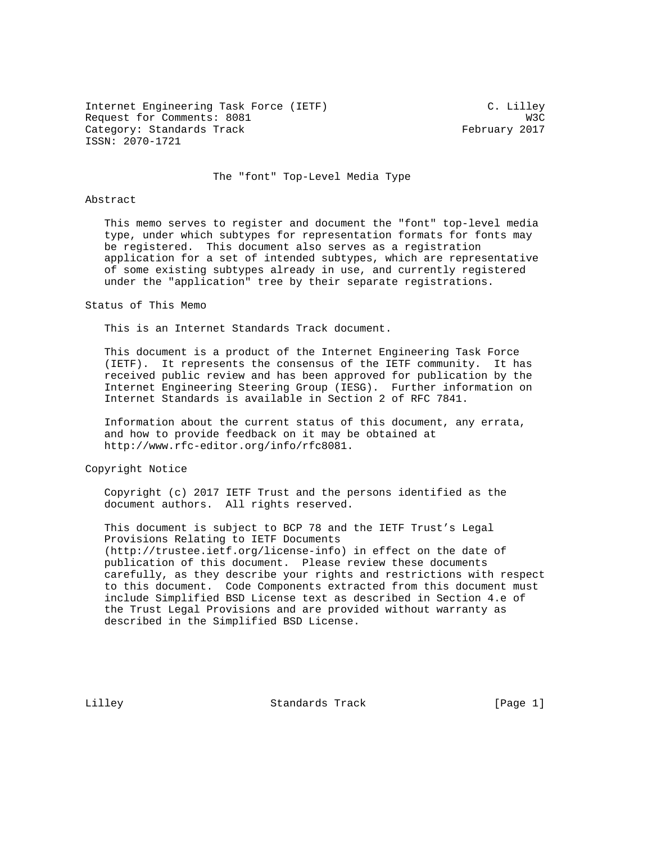Internet Engineering Task Force (IETF) C. Lilley Request for Comments: 8081 W3C Category: Standards Track February 2017 ISSN: 2070-1721

The "font" Top-Level Media Type

# Abstract

 This memo serves to register and document the "font" top-level media type, under which subtypes for representation formats for fonts may be registered. This document also serves as a registration application for a set of intended subtypes, which are representative of some existing subtypes already in use, and currently registered under the "application" tree by their separate registrations.

## Status of This Memo

This is an Internet Standards Track document.

 This document is a product of the Internet Engineering Task Force (IETF). It represents the consensus of the IETF community. It has received public review and has been approved for publication by the Internet Engineering Steering Group (IESG). Further information on Internet Standards is available in Section 2 of RFC 7841.

 Information about the current status of this document, any errata, and how to provide feedback on it may be obtained at http://www.rfc-editor.org/info/rfc8081.

Copyright Notice

 Copyright (c) 2017 IETF Trust and the persons identified as the document authors. All rights reserved.

 This document is subject to BCP 78 and the IETF Trust's Legal Provisions Relating to IETF Documents (http://trustee.ietf.org/license-info) in effect on the date of publication of this document. Please review these documents carefully, as they describe your rights and restrictions with respect to this document. Code Components extracted from this document must include Simplified BSD License text as described in Section 4.e of the Trust Legal Provisions and are provided without warranty as described in the Simplified BSD License.

Lilley Standards Track [Page 1]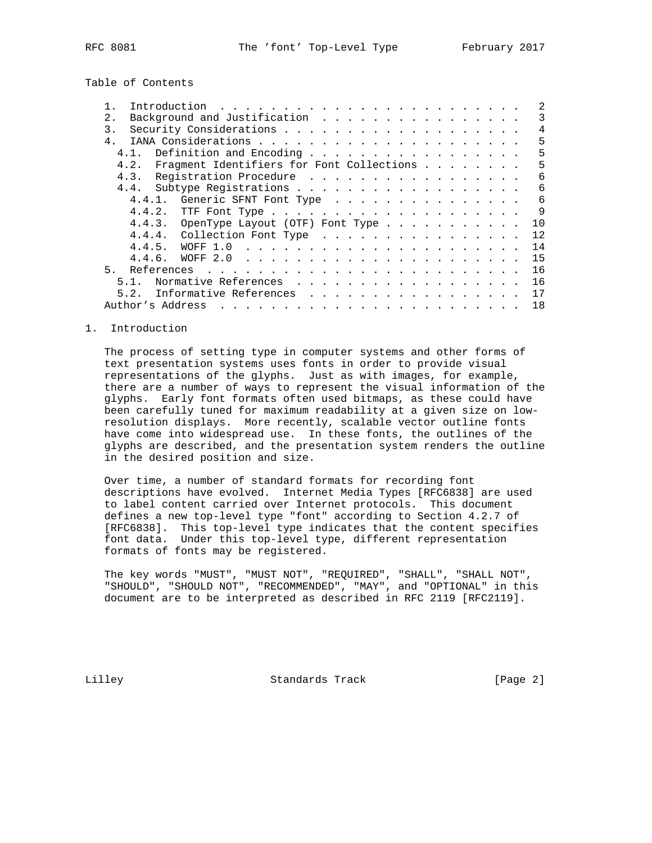Table of Contents

| $2$ . |                                                |        | Background and Justification                    |  |                                                                                                                                                                                                                                |  |  |  |  |  |  |  |  |  |    |
|-------|------------------------------------------------|--------|-------------------------------------------------|--|--------------------------------------------------------------------------------------------------------------------------------------------------------------------------------------------------------------------------------|--|--|--|--|--|--|--|--|--|----|
| 3.    |                                                |        |                                                 |  |                                                                                                                                                                                                                                |  |  |  |  |  |  |  |  |  | 4  |
| $4$ . |                                                |        |                                                 |  |                                                                                                                                                                                                                                |  |  |  |  |  |  |  |  |  | 5  |
|       | 4.1.                                           |        | Definition and Encoding                         |  |                                                                                                                                                                                                                                |  |  |  |  |  |  |  |  |  | 5  |
|       | 4.2. Fragment Identifiers for Font Collections |        |                                                 |  |                                                                                                                                                                                                                                |  |  |  |  |  |  |  |  |  | 5  |
|       | 4.3. Registration Procedure                    |        |                                                 |  |                                                                                                                                                                                                                                |  |  |  |  |  |  |  |  |  | 6  |
|       |                                                |        |                                                 |  |                                                                                                                                                                                                                                |  |  |  |  |  |  |  |  |  | 6  |
|       |                                                |        | 4.4.1. Generic SFNT Font Type                   |  |                                                                                                                                                                                                                                |  |  |  |  |  |  |  |  |  | 6  |
|       |                                                | 4.4.2. |                                                 |  |                                                                                                                                                                                                                                |  |  |  |  |  |  |  |  |  | 9  |
|       |                                                |        | 4.4.3. OpenType Layout (OTF) Font Type $\ldots$ |  |                                                                                                                                                                                                                                |  |  |  |  |  |  |  |  |  | 10 |
|       |                                                |        |                                                 |  |                                                                                                                                                                                                                                |  |  |  |  |  |  |  |  |  | 12 |
|       |                                                |        |                                                 |  |                                                                                                                                                                                                                                |  |  |  |  |  |  |  |  |  | 14 |
|       |                                                | 4.4.6. |                                                 |  |                                                                                                                                                                                                                                |  |  |  |  |  |  |  |  |  | 15 |
| 5.    |                                                |        |                                                 |  |                                                                                                                                                                                                                                |  |  |  |  |  |  |  |  |  | 16 |
|       | 5.1.                                           |        | Normative References                            |  |                                                                                                                                                                                                                                |  |  |  |  |  |  |  |  |  | 16 |
|       | 5.2.                                           |        | Informative References                          |  |                                                                                                                                                                                                                                |  |  |  |  |  |  |  |  |  | 17 |
|       | Author's Address                               |        |                                                 |  | and a complete that the complete the complete theory of the complete theory of the complete theory of the complete theory of the complete theory of the complete theory of the complete theory of the complete theory of the c |  |  |  |  |  |  |  |  |  | 18 |

### 1. Introduction

 The process of setting type in computer systems and other forms of text presentation systems uses fonts in order to provide visual representations of the glyphs. Just as with images, for example, there are a number of ways to represent the visual information of the glyphs. Early font formats often used bitmaps, as these could have been carefully tuned for maximum readability at a given size on low resolution displays. More recently, scalable vector outline fonts have come into widespread use. In these fonts, the outlines of the glyphs are described, and the presentation system renders the outline in the desired position and size.

 Over time, a number of standard formats for recording font descriptions have evolved. Internet Media Types [RFC6838] are used to label content carried over Internet protocols. This document defines a new top-level type "font" according to Section 4.2.7 of [RFC6838]. This top-level type indicates that the content specifies font data. Under this top-level type, different representation formats of fonts may be registered.

 The key words "MUST", "MUST NOT", "REQUIRED", "SHALL", "SHALL NOT", "SHOULD", "SHOULD NOT", "RECOMMENDED", "MAY", and "OPTIONAL" in this document are to be interpreted as described in RFC 2119 [RFC2119].

Lilley Standards Track [Page 2]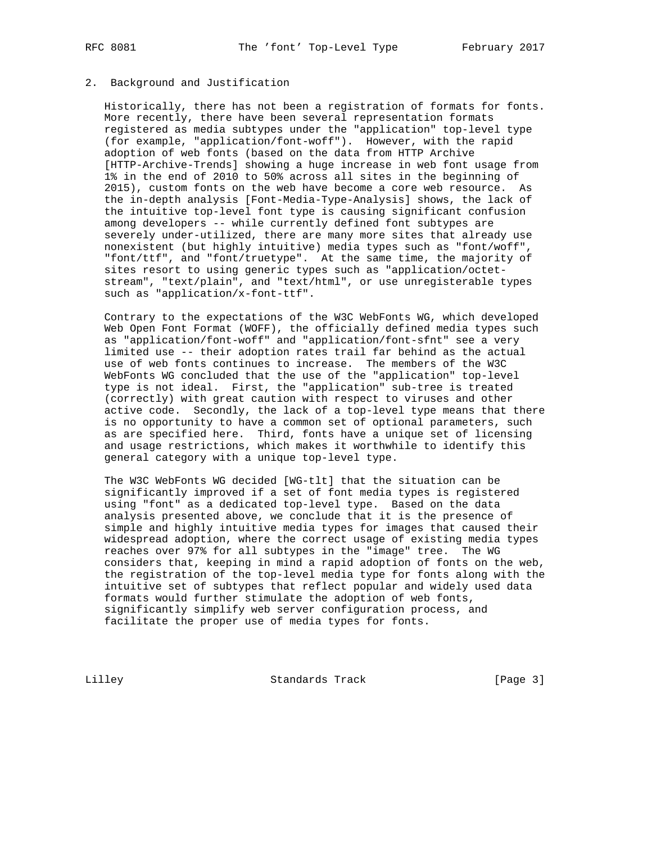# 2. Background and Justification

 Historically, there has not been a registration of formats for fonts. More recently, there have been several representation formats registered as media subtypes under the "application" top-level type (for example, "application/font-woff"). However, with the rapid adoption of web fonts (based on the data from HTTP Archive [HTTP-Archive-Trends] showing a huge increase in web font usage from 1% in the end of 2010 to 50% across all sites in the beginning of 2015), custom fonts on the web have become a core web resource. As the in-depth analysis [Font-Media-Type-Analysis] shows, the lack of the intuitive top-level font type is causing significant confusion among developers -- while currently defined font subtypes are severely under-utilized, there are many more sites that already use nonexistent (but highly intuitive) media types such as "font/woff", "font/ttf", and "font/truetype". At the same time, the majority of sites resort to using generic types such as "application/octet stream", "text/plain", and "text/html", or use unregisterable types such as "application/x-font-ttf".

 Contrary to the expectations of the W3C WebFonts WG, which developed Web Open Font Format (WOFF), the officially defined media types such as "application/font-woff" and "application/font-sfnt" see a very limited use -- their adoption rates trail far behind as the actual use of web fonts continues to increase. The members of the W3C WebFonts WG concluded that the use of the "application" top-level type is not ideal. First, the "application" sub-tree is treated (correctly) with great caution with respect to viruses and other active code. Secondly, the lack of a top-level type means that there is no opportunity to have a common set of optional parameters, such as are specified here. Third, fonts have a unique set of licensing and usage restrictions, which makes it worthwhile to identify this general category with a unique top-level type.

 The W3C WebFonts WG decided [WG-tlt] that the situation can be significantly improved if a set of font media types is registered using "font" as a dedicated top-level type. Based on the data analysis presented above, we conclude that it is the presence of simple and highly intuitive media types for images that caused their widespread adoption, where the correct usage of existing media types reaches over 97% for all subtypes in the "image" tree. The WG considers that, keeping in mind a rapid adoption of fonts on the web, the registration of the top-level media type for fonts along with the intuitive set of subtypes that reflect popular and widely used data formats would further stimulate the adoption of web fonts, significantly simplify web server configuration process, and facilitate the proper use of media types for fonts.

Lilley Standards Track [Page 3]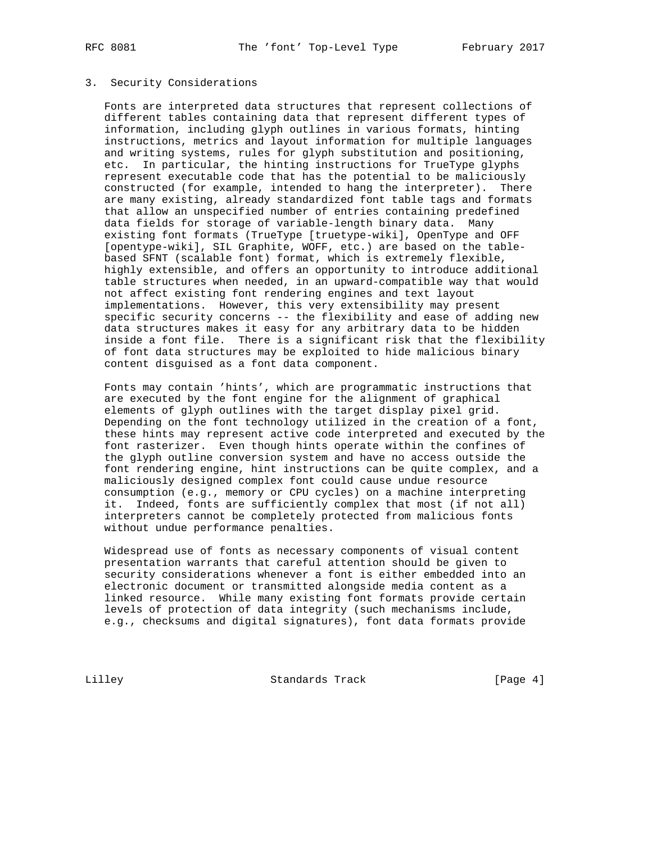# 3. Security Considerations

 Fonts are interpreted data structures that represent collections of different tables containing data that represent different types of information, including glyph outlines in various formats, hinting instructions, metrics and layout information for multiple languages and writing systems, rules for glyph substitution and positioning, etc. In particular, the hinting instructions for TrueType glyphs represent executable code that has the potential to be maliciously constructed (for example, intended to hang the interpreter). There are many existing, already standardized font table tags and formats that allow an unspecified number of entries containing predefined data fields for storage of variable-length binary data. Many existing font formats (TrueType [truetype-wiki], OpenType and OFF [opentype-wiki], SIL Graphite, WOFF, etc.) are based on the table based SFNT (scalable font) format, which is extremely flexible, highly extensible, and offers an opportunity to introduce additional table structures when needed, in an upward-compatible way that would not affect existing font rendering engines and text layout implementations. However, this very extensibility may present specific security concerns -- the flexibility and ease of adding new data structures makes it easy for any arbitrary data to be hidden inside a font file. There is a significant risk that the flexibility of font data structures may be exploited to hide malicious binary content disguised as a font data component.

 Fonts may contain 'hints', which are programmatic instructions that are executed by the font engine for the alignment of graphical elements of glyph outlines with the target display pixel grid. Depending on the font technology utilized in the creation of a font, these hints may represent active code interpreted and executed by the font rasterizer. Even though hints operate within the confines of the glyph outline conversion system and have no access outside the font rendering engine, hint instructions can be quite complex, and a maliciously designed complex font could cause undue resource consumption (e.g., memory or CPU cycles) on a machine interpreting it. Indeed, fonts are sufficiently complex that most (if not all) interpreters cannot be completely protected from malicious fonts without undue performance penalties.

 Widespread use of fonts as necessary components of visual content presentation warrants that careful attention should be given to security considerations whenever a font is either embedded into an electronic document or transmitted alongside media content as a linked resource. While many existing font formats provide certain levels of protection of data integrity (such mechanisms include, e.g., checksums and digital signatures), font data formats provide

Lilley **Standards Track** [Page 4]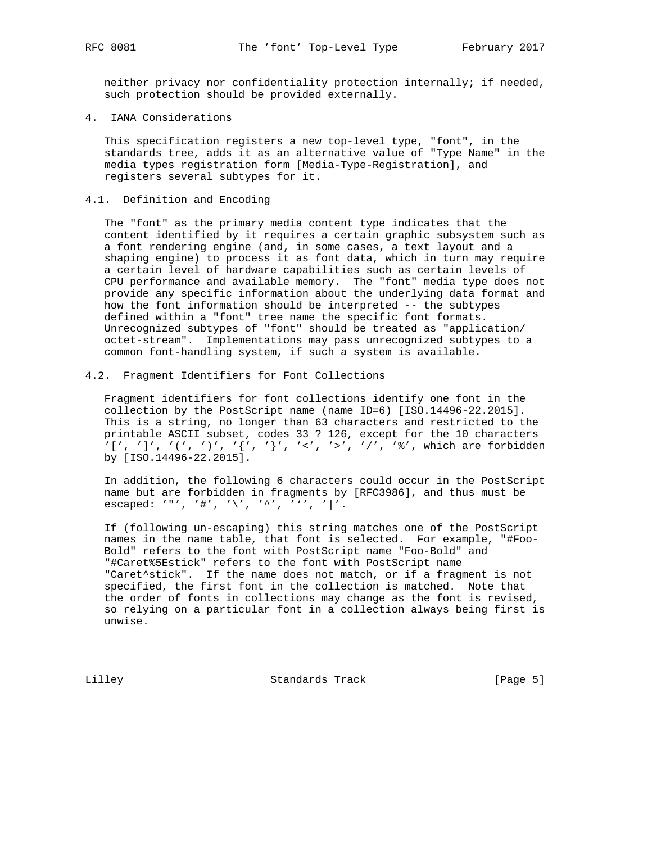neither privacy nor confidentiality protection internally; if needed, such protection should be provided externally.

4. IANA Considerations

 This specification registers a new top-level type, "font", in the standards tree, adds it as an alternative value of "Type Name" in the media types registration form [Media-Type-Registration], and registers several subtypes for it.

4.1. Definition and Encoding

 The "font" as the primary media content type indicates that the content identified by it requires a certain graphic subsystem such as a font rendering engine (and, in some cases, a text layout and a shaping engine) to process it as font data, which in turn may require a certain level of hardware capabilities such as certain levels of CPU performance and available memory. The "font" media type does not provide any specific information about the underlying data format and how the font information should be interpreted -- the subtypes defined within a "font" tree name the specific font formats. Unrecognized subtypes of "font" should be treated as "application/ octet-stream". Implementations may pass unrecognized subtypes to a common font-handling system, if such a system is available.

4.2. Fragment Identifiers for Font Collections

 Fragment identifiers for font collections identify one font in the collection by the PostScript name (name ID=6) [ISO.14496-22.2015]. This is a string, no longer than 63 characters and restricted to the printable ASCII subset, codes 33 ? 126, except for the 10 characters '[', ']', '(', ')', '{', '}', '<', '>', '/', '%', which are forbidden by [ISO.14496-22.2015].

 In addition, the following 6 characters could occur in the PostScript name but are forbidden in fragments by [RFC3986], and thus must be escaped: '"', '#', '\', '^', ''', '|'.

 If (following un-escaping) this string matches one of the PostScript names in the name table, that font is selected. For example, "#Foo- Bold" refers to the font with PostScript name "Foo-Bold" and "#Caret%5Estick" refers to the font with PostScript name "Caret^stick". If the name does not match, or if a fragment is not specified, the first font in the collection is matched. Note that the order of fonts in collections may change as the font is revised, so relying on a particular font in a collection always being first is unwise.

Lilley Standards Track [Page 5]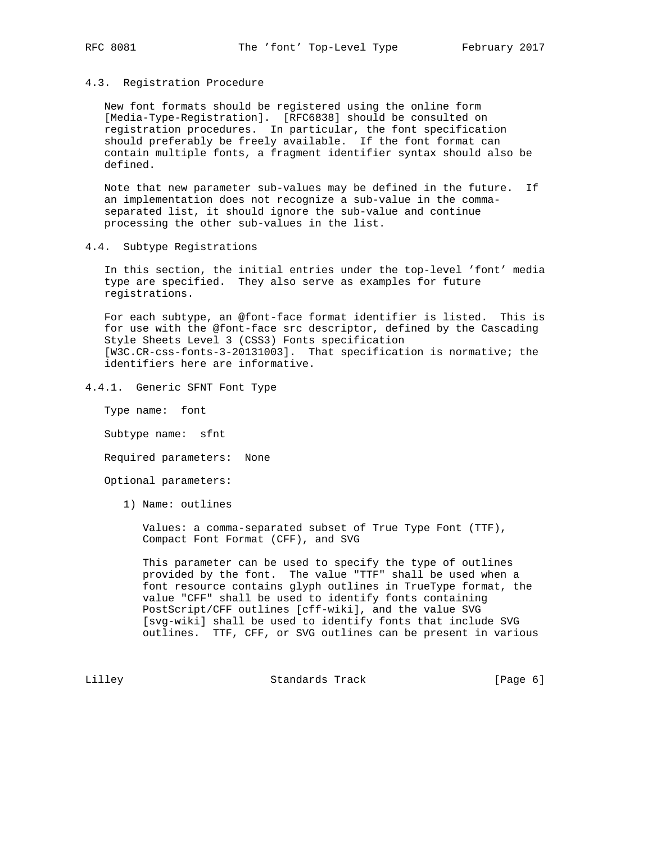### 4.3. Registration Procedure

 New font formats should be registered using the online form [Media-Type-Registration]. [RFC6838] should be consulted on registration procedures. In particular, the font specification should preferably be freely available. If the font format can contain multiple fonts, a fragment identifier syntax should also be defined.

 Note that new parameter sub-values may be defined in the future. If an implementation does not recognize a sub-value in the comma separated list, it should ignore the sub-value and continue processing the other sub-values in the list.

4.4. Subtype Registrations

 In this section, the initial entries under the top-level 'font' media type are specified. They also serve as examples for future registrations.

 For each subtype, an @font-face format identifier is listed. This is for use with the @font-face src descriptor, defined by the Cascading Style Sheets Level 3 (CSS3) Fonts specification [W3C.CR-css-fonts-3-20131003]. That specification is normative; the identifiers here are informative.

4.4.1. Generic SFNT Font Type

Type name: font

Subtype name: sfnt

Required parameters: None

Optional parameters:

1) Name: outlines

 Values: a comma-separated subset of True Type Font (TTF), Compact Font Format (CFF), and SVG

 This parameter can be used to specify the type of outlines provided by the font. The value "TTF" shall be used when a font resource contains glyph outlines in TrueType format, the value "CFF" shall be used to identify fonts containing PostScript/CFF outlines [cff-wiki], and the value SVG [svg-wiki] shall be used to identify fonts that include SVG outlines. TTF, CFF, or SVG outlines can be present in various

Lilley **Standards Track** [Page 6]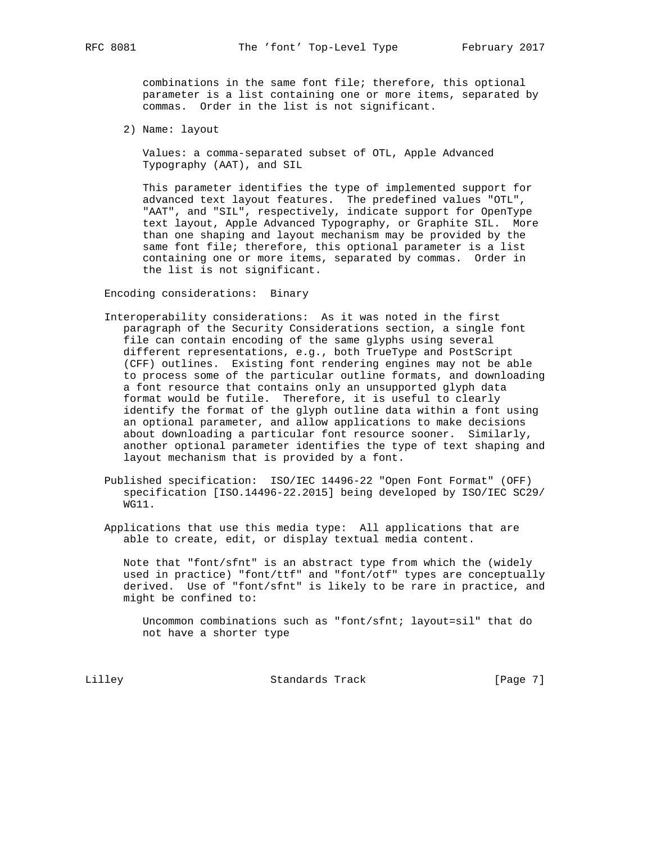combinations in the same font file; therefore, this optional parameter is a list containing one or more items, separated by commas. Order in the list is not significant.

2) Name: layout

 Values: a comma-separated subset of OTL, Apple Advanced Typography (AAT), and SIL

 This parameter identifies the type of implemented support for advanced text layout features. The predefined values "OTL", "AAT", and "SIL", respectively, indicate support for OpenType text layout, Apple Advanced Typography, or Graphite SIL. More than one shaping and layout mechanism may be provided by the same font file; therefore, this optional parameter is a list containing one or more items, separated by commas. Order in the list is not significant.

Encoding considerations: Binary

- Interoperability considerations: As it was noted in the first paragraph of the Security Considerations section, a single font file can contain encoding of the same glyphs using several different representations, e.g., both TrueType and PostScript (CFF) outlines. Existing font rendering engines may not be able to process some of the particular outline formats, and downloading a font resource that contains only an unsupported glyph data format would be futile. Therefore, it is useful to clearly identify the format of the glyph outline data within a font using an optional parameter, and allow applications to make decisions about downloading a particular font resource sooner. Similarly, another optional parameter identifies the type of text shaping and layout mechanism that is provided by a font.
- Published specification: ISO/IEC 14496-22 "Open Font Format" (OFF) specification [ISO.14496-22.2015] being developed by ISO/IEC SC29/ WG11.
- Applications that use this media type: All applications that are able to create, edit, or display textual media content.

 Note that "font/sfnt" is an abstract type from which the (widely used in practice) "font/ttf" and "font/otf" types are conceptually derived. Use of "font/sfnt" is likely to be rare in practice, and might be confined to:

 Uncommon combinations such as "font/sfnt; layout=sil" that do not have a shorter type

Lilley Standards Track [Page 7]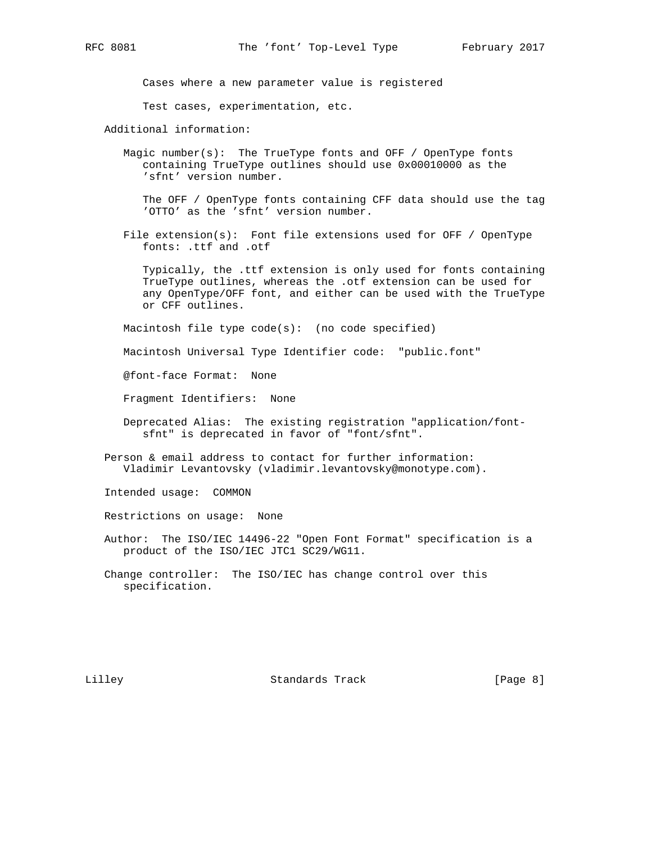Cases where a new parameter value is registered

Test cases, experimentation, etc.

Additional information:

 Magic number(s): The TrueType fonts and OFF / OpenType fonts containing TrueType outlines should use 0x00010000 as the 'sfnt' version number.

 The OFF / OpenType fonts containing CFF data should use the tag 'OTTO' as the 'sfnt' version number.

 File extension(s): Font file extensions used for OFF / OpenType fonts: .ttf and .otf

 Typically, the .ttf extension is only used for fonts containing TrueType outlines, whereas the .otf extension can be used for any OpenType/OFF font, and either can be used with the TrueType or CFF outlines.

Macintosh file type code(s): (no code specified)

Macintosh Universal Type Identifier code: "public.font"

@font-face Format: None

Fragment Identifiers: None

- Deprecated Alias: The existing registration "application/font sfnt" is deprecated in favor of "font/sfnt".
- Person & email address to contact for further information: Vladimir Levantovsky (vladimir.levantovsky@monotype.com).

Intended usage: COMMON

Restrictions on usage: None

- Author: The ISO/IEC 14496-22 "Open Font Format" specification is a product of the ISO/IEC JTC1 SC29/WG11.
- Change controller: The ISO/IEC has change control over this specification.

Lilley Standards Track [Page 8]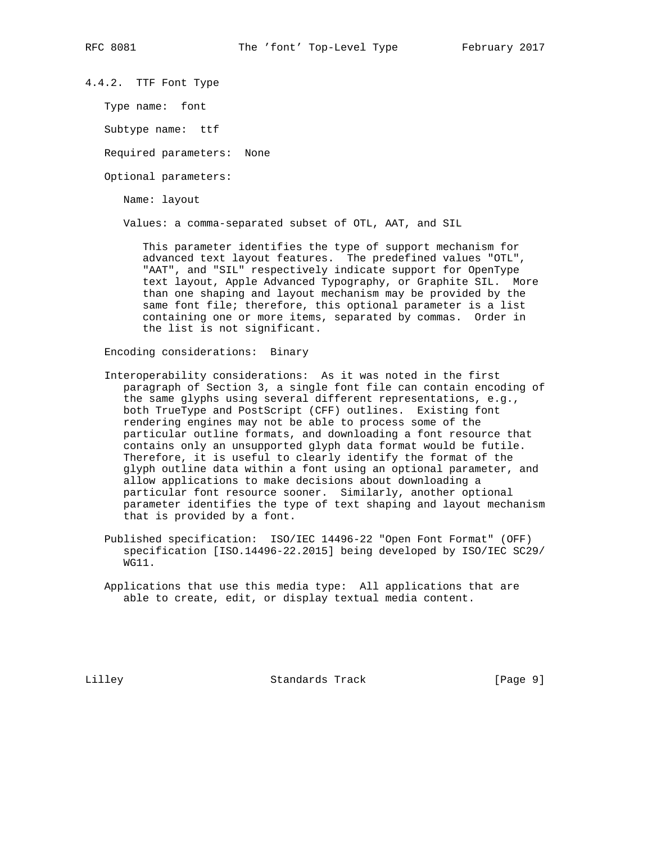4.4.2. TTF Font Type

Type name: font

Subtype name: ttf

Required parameters: None

Optional parameters:

Name: layout

Values: a comma-separated subset of OTL, AAT, and SIL

 This parameter identifies the type of support mechanism for advanced text layout features. The predefined values "OTL", "AAT", and "SIL" respectively indicate support for OpenType text layout, Apple Advanced Typography, or Graphite SIL. More than one shaping and layout mechanism may be provided by the same font file; therefore, this optional parameter is a list containing one or more items, separated by commas. Order in the list is not significant.

Encoding considerations: Binary

- Interoperability considerations: As it was noted in the first paragraph of Section 3, a single font file can contain encoding of the same glyphs using several different representations, e.g., both TrueType and PostScript (CFF) outlines. Existing font rendering engines may not be able to process some of the particular outline formats, and downloading a font resource that contains only an unsupported glyph data format would be futile. Therefore, it is useful to clearly identify the format of the glyph outline data within a font using an optional parameter, and allow applications to make decisions about downloading a particular font resource sooner. Similarly, another optional parameter identifies the type of text shaping and layout mechanism that is provided by a font.
- Published specification: ISO/IEC 14496-22 "Open Font Format" (OFF) specification [ISO.14496-22.2015] being developed by ISO/IEC SC29/ WG11.
- Applications that use this media type: All applications that are able to create, edit, or display textual media content.

Lilley Standards Track [Page 9]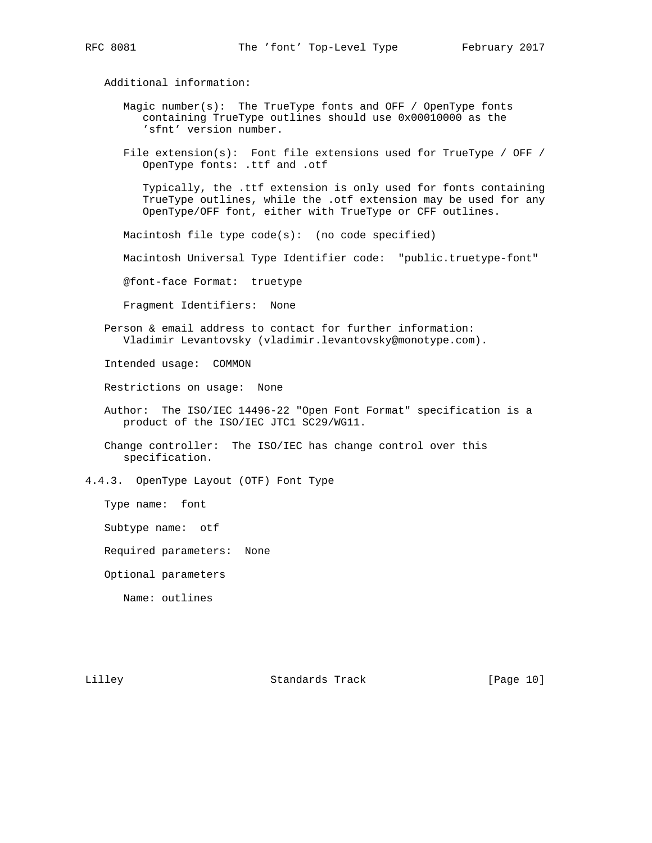Additional information:

- Magic number $(s)$ : The TrueType fonts and OFF / OpenType fonts containing TrueType outlines should use 0x00010000 as the 'sfnt' version number.
- File extension(s): Font file extensions used for TrueType / OFF / OpenType fonts: .ttf and .otf

 Typically, the .ttf extension is only used for fonts containing TrueType outlines, while the .otf extension may be used for any OpenType/OFF font, either with TrueType or CFF outlines.

Macintosh file type code(s): (no code specified)

Macintosh Universal Type Identifier code: "public.truetype-font"

@font-face Format: truetype

Fragment Identifiers: None

 Person & email address to contact for further information: Vladimir Levantovsky (vladimir.levantovsky@monotype.com).

Intended usage: COMMON

Restrictions on usage: None

 Author: The ISO/IEC 14496-22 "Open Font Format" specification is a product of the ISO/IEC JTC1 SC29/WG11.

 Change controller: The ISO/IEC has change control over this specification.

4.4.3. OpenType Layout (OTF) Font Type

Type name: font

Subtype name: otf

Required parameters: None

Optional parameters

Name: outlines

Lilley Chamber Standards Track [Page 10]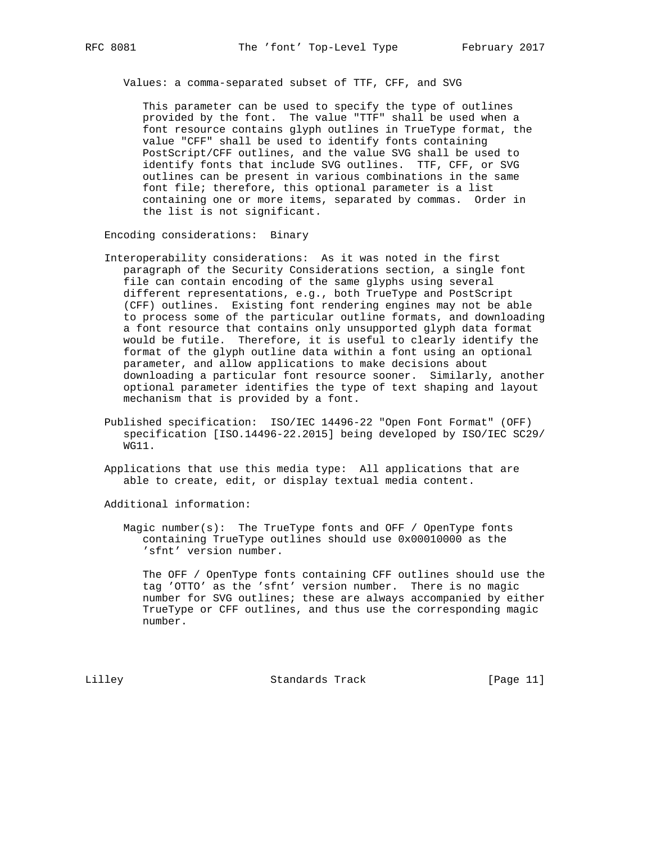Values: a comma-separated subset of TTF, CFF, and SVG

 This parameter can be used to specify the type of outlines provided by the font. The value "TTF" shall be used when a font resource contains glyph outlines in TrueType format, the value "CFF" shall be used to identify fonts containing PostScript/CFF outlines, and the value SVG shall be used to identify fonts that include SVG outlines. TTF, CFF, or SVG outlines can be present in various combinations in the same font file; therefore, this optional parameter is a list containing one or more items, separated by commas. Order in the list is not significant.

Encoding considerations: Binary

- Interoperability considerations: As it was noted in the first paragraph of the Security Considerations section, a single font file can contain encoding of the same glyphs using several different representations, e.g., both TrueType and PostScript (CFF) outlines. Existing font rendering engines may not be able to process some of the particular outline formats, and downloading a font resource that contains only unsupported glyph data format would be futile. Therefore, it is useful to clearly identify the format of the glyph outline data within a font using an optional parameter, and allow applications to make decisions about downloading a particular font resource sooner. Similarly, another optional parameter identifies the type of text shaping and layout mechanism that is provided by a font.
- Published specification: ISO/IEC 14496-22 "Open Font Format" (OFF) specification [ISO.14496-22.2015] being developed by ISO/IEC SC29/ WG11.
- Applications that use this media type: All applications that are able to create, edit, or display textual media content.

Additional information:

Magic number $(s)$ : The TrueType fonts and OFF / OpenType fonts containing TrueType outlines should use 0x00010000 as the 'sfnt' version number.

 The OFF / OpenType fonts containing CFF outlines should use the tag 'OTTO' as the 'sfnt' version number. There is no magic number for SVG outlines; these are always accompanied by either TrueType or CFF outlines, and thus use the corresponding magic number.

Lilley Standards Track [Page 11]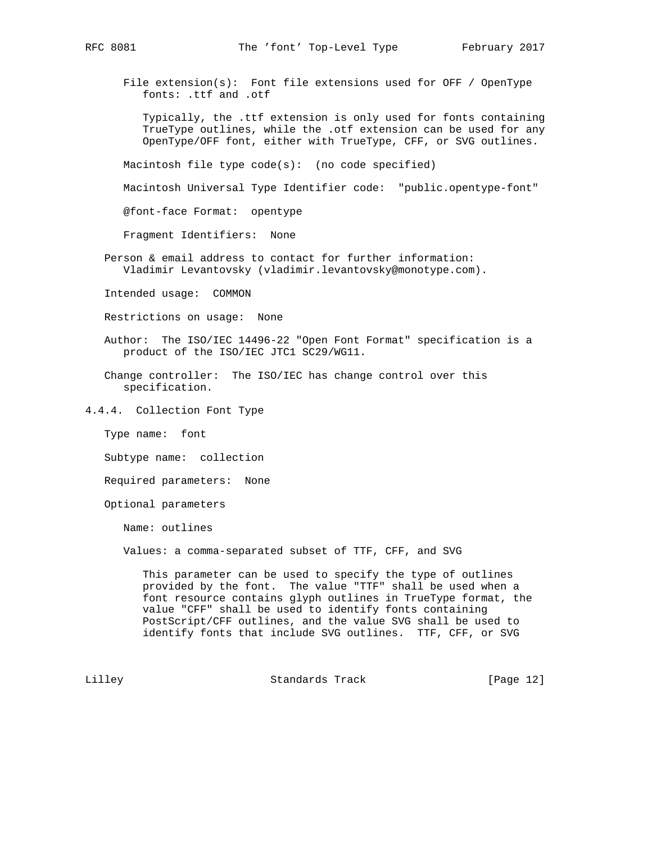File extension(s): Font file extensions used for OFF / OpenType fonts: .ttf and .otf

 Typically, the .ttf extension is only used for fonts containing TrueType outlines, while the .otf extension can be used for any OpenType/OFF font, either with TrueType, CFF, or SVG outlines.

Macintosh file type code(s): (no code specified)

Macintosh Universal Type Identifier code: "public.opentype-font"

@font-face Format: opentype

Fragment Identifiers: None

 Person & email address to contact for further information: Vladimir Levantovsky (vladimir.levantovsky@monotype.com).

Intended usage: COMMON

Restrictions on usage: None

- Author: The ISO/IEC 14496-22 "Open Font Format" specification is a product of the ISO/IEC JTC1 SC29/WG11.
- Change controller: The ISO/IEC has change control over this specification.

4.4.4. Collection Font Type

Type name: font

Subtype name: collection

Required parameters: None

Optional parameters

Name: outlines

Values: a comma-separated subset of TTF, CFF, and SVG

 This parameter can be used to specify the type of outlines provided by the font. The value "TTF" shall be used when a font resource contains glyph outlines in TrueType format, the value "CFF" shall be used to identify fonts containing PostScript/CFF outlines, and the value SVG shall be used to identify fonts that include SVG outlines. TTF, CFF, or SVG

Lilley Chamber Standards Track [Page 12]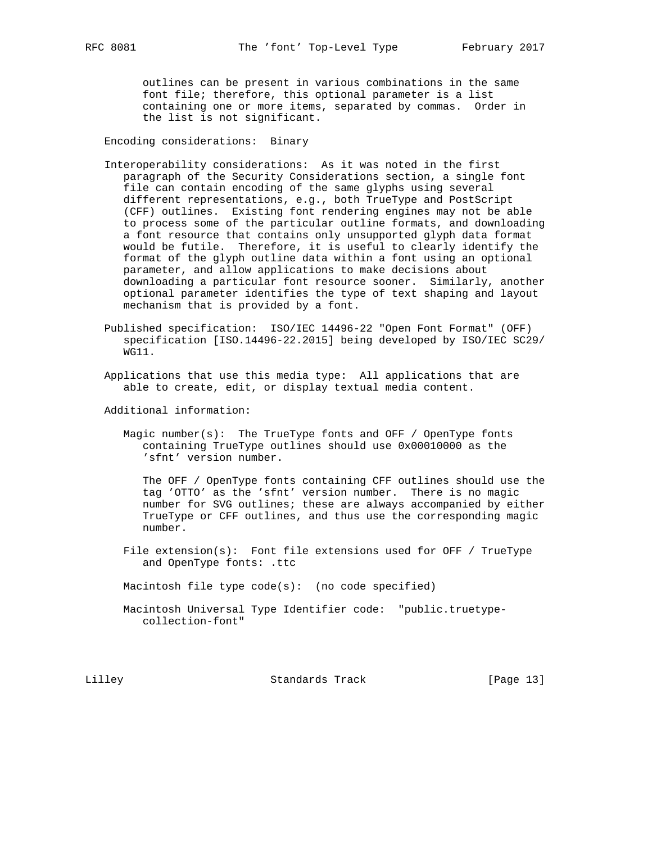outlines can be present in various combinations in the same font file; therefore, this optional parameter is a list containing one or more items, separated by commas. Order in the list is not significant.

Encoding considerations: Binary

- Interoperability considerations: As it was noted in the first paragraph of the Security Considerations section, a single font file can contain encoding of the same glyphs using several different representations, e.g., both TrueType and PostScript (CFF) outlines. Existing font rendering engines may not be able to process some of the particular outline formats, and downloading a font resource that contains only unsupported glyph data format would be futile. Therefore, it is useful to clearly identify the format of the glyph outline data within a font using an optional parameter, and allow applications to make decisions about downloading a particular font resource sooner. Similarly, another optional parameter identifies the type of text shaping and layout mechanism that is provided by a font.
- Published specification: ISO/IEC 14496-22 "Open Font Format" (OFF) specification [ISO.14496-22.2015] being developed by ISO/IEC SC29/ WG11.
- Applications that use this media type: All applications that are able to create, edit, or display textual media content.

Additional information:

Magic number(s): The TrueType fonts and OFF / OpenType fonts containing TrueType outlines should use 0x00010000 as the 'sfnt' version number.

 The OFF / OpenType fonts containing CFF outlines should use the tag 'OTTO' as the 'sfnt' version number. There is no magic number for SVG outlines; these are always accompanied by either TrueType or CFF outlines, and thus use the corresponding magic number.

File extension(s): Font file extensions used for OFF / TrueType and OpenType fonts: .ttc

Macintosh file type code(s): (no code specified)

 Macintosh Universal Type Identifier code: "public.truetype collection-font"

Lilley Standards Track [Page 13]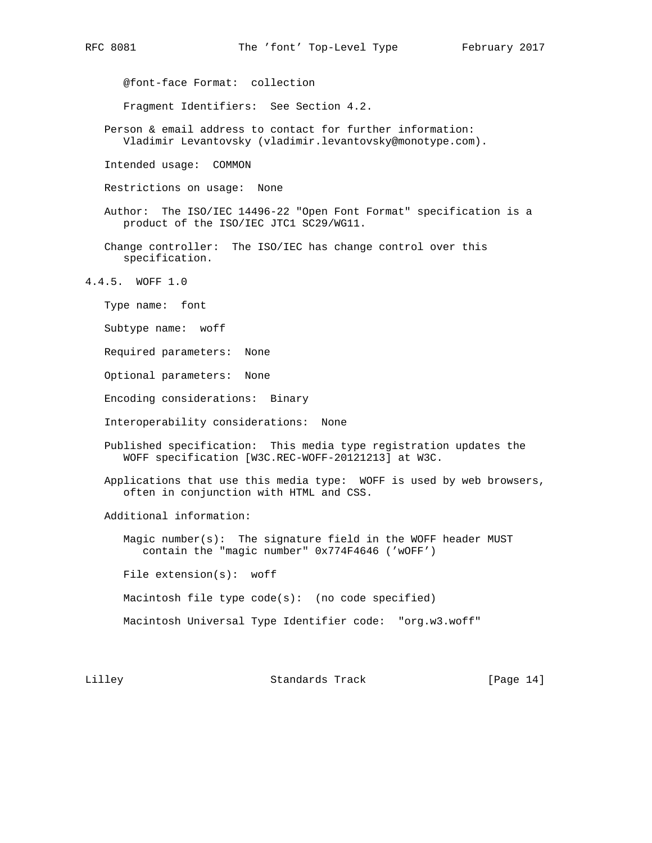@font-face Format: collection

Fragment Identifiers: See Section 4.2.

 Person & email address to contact for further information: Vladimir Levantovsky (vladimir.levantovsky@monotype.com).

Intended usage: COMMON

Restrictions on usage: None

- Author: The ISO/IEC 14496-22 "Open Font Format" specification is a product of the ISO/IEC JTC1 SC29/WG11.
- Change controller: The ISO/IEC has change control over this specification.
- 4.4.5. WOFF 1.0
	- Type name: font
	- Subtype name: woff
	- Required parameters: None
	- Optional parameters: None
	- Encoding considerations: Binary
	- Interoperability considerations: None
	- Published specification: This media type registration updates the WOFF specification [W3C.REC-WOFF-20121213] at W3C.
	- Applications that use this media type: WOFF is used by web browsers, often in conjunction with HTML and CSS.

Additional information:

 Magic number(s): The signature field in the WOFF header MUST contain the "magic number" 0x774F4646 ('wOFF')

File extension(s): woff

Macintosh file type code(s): (no code specified)

Macintosh Universal Type Identifier code: "org.w3.woff"

Lilley Standards Track [Page 14]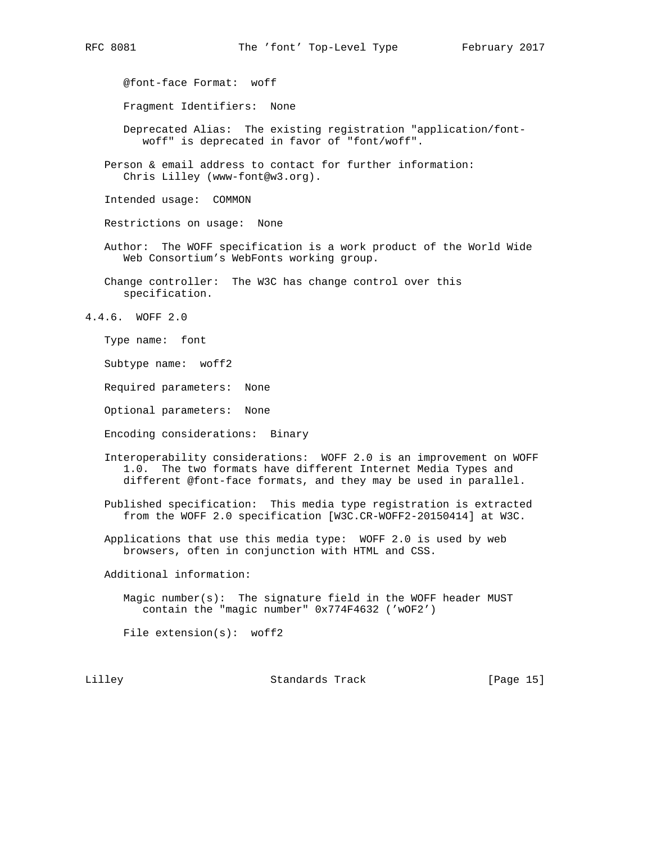@font-face Format: woff

Fragment Identifiers: None

 Deprecated Alias: The existing registration "application/font woff" is deprecated in favor of "font/woff".

 Person & email address to contact for further information: Chris Lilley (www-font@w3.org).

Intended usage: COMMON

Restrictions on usage: None

 Author: The WOFF specification is a work product of the World Wide Web Consortium's WebFonts working group.

 Change controller: The W3C has change control over this specification.

4.4.6. WOFF 2.0

Type name: font

Subtype name: woff2

Required parameters: None

Optional parameters: None

Encoding considerations: Binary

 Interoperability considerations: WOFF 2.0 is an improvement on WOFF 1.0. The two formats have different Internet Media Types and different @font-face formats, and they may be used in parallel.

 Published specification: This media type registration is extracted from the WOFF 2.0 specification [W3C.CR-WOFF2-20150414] at W3C.

 Applications that use this media type: WOFF 2.0 is used by web browsers, often in conjunction with HTML and CSS.

Additional information:

 Magic number(s): The signature field in the WOFF header MUST contain the "magic number" 0x774F4632 ('wOF2')

File extension(s): woff2

Lilley Chamber Standards Track [Page 15]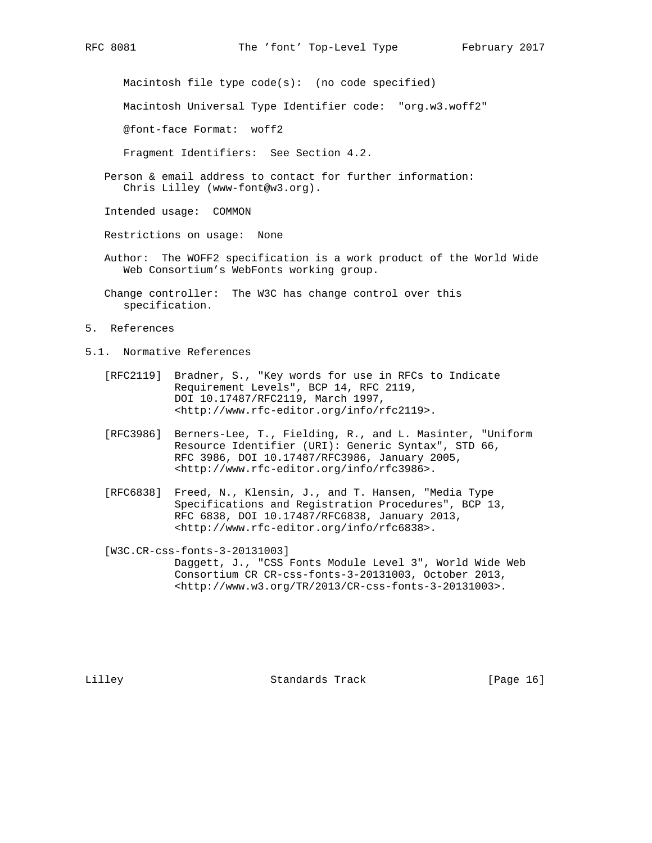Macintosh file type code(s): (no code specified)

Macintosh Universal Type Identifier code: "org.w3.woff2"

@font-face Format: woff2

Fragment Identifiers: See Section 4.2.

 Person & email address to contact for further information: Chris Lilley (www-font@w3.org).

Intended usage: COMMON

Restrictions on usage: None

- Author: The WOFF2 specification is a work product of the World Wide Web Consortium's WebFonts working group.
- Change controller: The W3C has change control over this specification.
- 5. References
- 5.1. Normative References
	- [RFC2119] Bradner, S., "Key words for use in RFCs to Indicate Requirement Levels", BCP 14, RFC 2119, DOI 10.17487/RFC2119, March 1997, <http://www.rfc-editor.org/info/rfc2119>.
	- [RFC3986] Berners-Lee, T., Fielding, R., and L. Masinter, "Uniform Resource Identifier (URI): Generic Syntax", STD 66, RFC 3986, DOI 10.17487/RFC3986, January 2005, <http://www.rfc-editor.org/info/rfc3986>.
	- [RFC6838] Freed, N., Klensin, J., and T. Hansen, "Media Type Specifications and Registration Procedures", BCP 13, RFC 6838, DOI 10.17487/RFC6838, January 2013, <http://www.rfc-editor.org/info/rfc6838>.

[W3C.CR-css-fonts-3-20131003]

 Daggett, J., "CSS Fonts Module Level 3", World Wide Web Consortium CR CR-css-fonts-3-20131003, October 2013, <http://www.w3.org/TR/2013/CR-css-fonts-3-20131003>.

Lilley Chamel Standards Track [Page 16]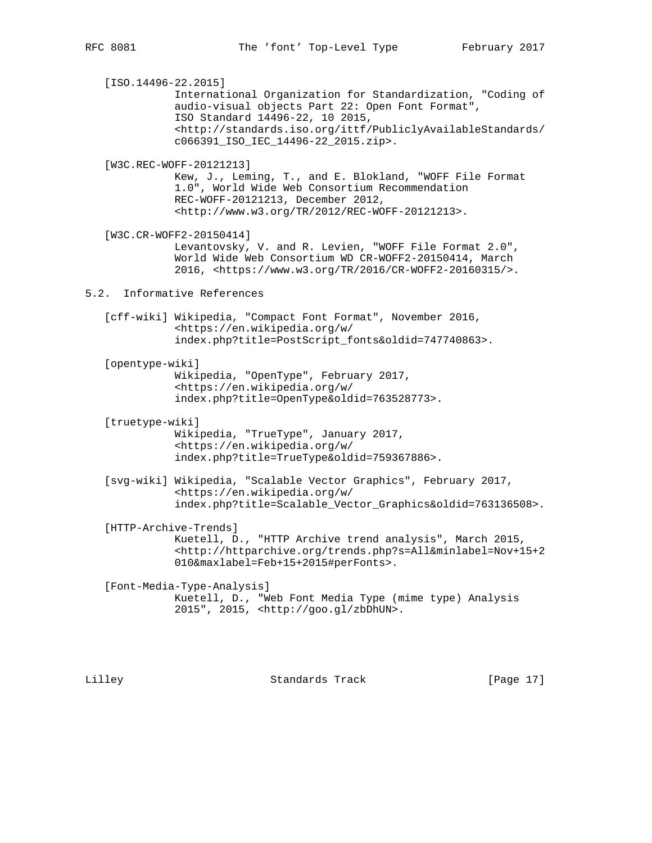[ISO.14496-22.2015] International Organization for Standardization, "Coding of audio-visual objects Part 22: Open Font Format", ISO Standard 14496-22, 10 2015, <http://standards.iso.org/ittf/PubliclyAvailableStandards/ c066391\_ISO\_IEC\_14496-22\_2015.zip>. [W3C.REC-WOFF-20121213] Kew, J., Leming, T., and E. Blokland, "WOFF File Format 1.0", World Wide Web Consortium Recommendation REC-WOFF-20121213, December 2012, <http://www.w3.org/TR/2012/REC-WOFF-20121213>. [W3C.CR-WOFF2-20150414] Levantovsky, V. and R. Levien, "WOFF File Format 2.0", World Wide Web Consortium WD CR-WOFF2-20150414, March 2016, <https://www.w3.org/TR/2016/CR-WOFF2-20160315/>. 5.2. Informative References [cff-wiki] Wikipedia, "Compact Font Format", November 2016, <https://en.wikipedia.org/w/ index.php?title=PostScript\_fonts&oldid=747740863>. [opentype-wiki] Wikipedia, "OpenType", February 2017, <https://en.wikipedia.org/w/ index.php?title=OpenType&oldid=763528773>. [truetype-wiki] Wikipedia, "TrueType", January 2017, <https://en.wikipedia.org/w/ index.php?title=TrueType&oldid=759367886>. [svg-wiki] Wikipedia, "Scalable Vector Graphics", February 2017, <https://en.wikipedia.org/w/ index.php?title=Scalable\_Vector\_Graphics&oldid=763136508>. [HTTP-Archive-Trends] Kuetell, D., "HTTP Archive trend analysis", March 2015, <http://httparchive.org/trends.php?s=All&minlabel=Nov+15+2 010&maxlabel=Feb+15+2015#perFonts>. [Font-Media-Type-Analysis] Kuetell, D., "Web Font Media Type (mime type) Analysis 2015", 2015, <http://goo.gl/zbDhUN>.

Lilley Standards Track [Page 17]